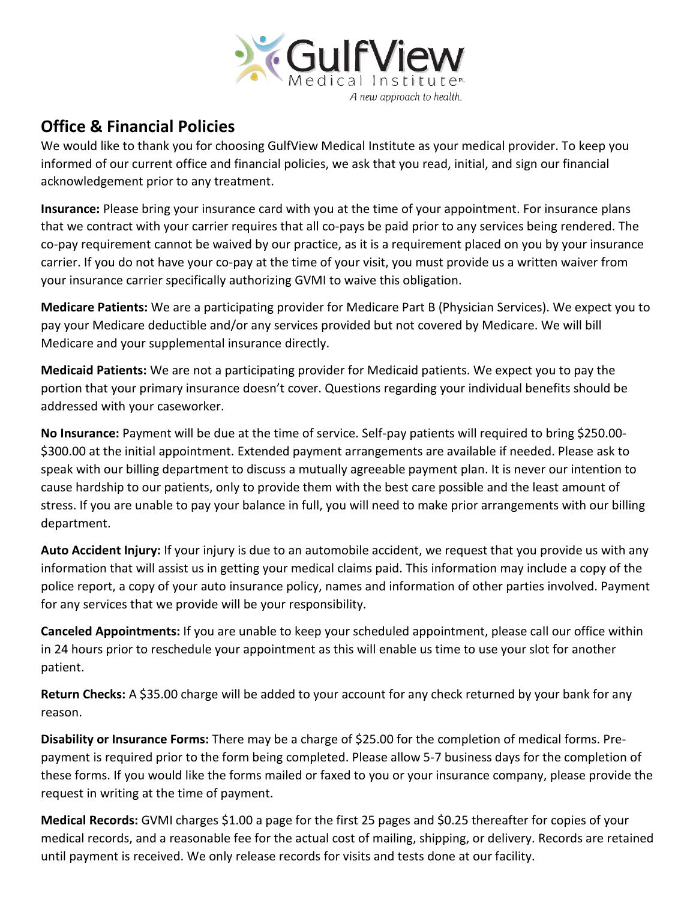

## **Office & Financial Policies**

We would like to thank you for choosing GulfView Medical Institute as your medical provider. To keep you informed of our current office and financial policies, we ask that you read, initial, and sign our financial acknowledgement prior to any treatment.

**Insurance:** Please bring your insurance card with you at the time of your appointment. For insurance plans that we contract with your carrier requires that all co-pays be paid prior to any services being rendered. The co-pay requirement cannot be waived by our practice, as it is a requirement placed on you by your insurance carrier. If you do not have your co-pay at the time of your visit, you must provide us a written waiver from your insurance carrier specifically authorizing GVMI to waive this obligation.

**Medicare Patients:** We are a participating provider for Medicare Part B (Physician Services). We expect you to pay your Medicare deductible and/or any services provided but not covered by Medicare. We will bill Medicare and your supplemental insurance directly.

**Medicaid Patients:** We are not a participating provider for Medicaid patients. We expect you to pay the portion that your primary insurance doesn't cover. Questions regarding your individual benefits should be addressed with your caseworker.

**No Insurance:** Payment will be due at the time of service. Self-pay patients will required to bring \$250.00- \$300.00 at the initial appointment. Extended payment arrangements are available if needed. Please ask to speak with our billing department to discuss a mutually agreeable payment plan. It is never our intention to cause hardship to our patients, only to provide them with the best care possible and the least amount of stress. If you are unable to pay your balance in full, you will need to make prior arrangements with our billing department.

**Auto Accident Injury:** If your injury is due to an automobile accident, we request that you provide us with any information that will assist us in getting your medical claims paid. This information may include a copy of the police report, a copy of your auto insurance policy, names and information of other parties involved. Payment for any services that we provide will be your responsibility.

**Canceled Appointments:** If you are unable to keep your scheduled appointment, please call our office within in 24 hours prior to reschedule your appointment as this will enable us time to use your slot for another patient.

**Return Checks:** A \$35.00 charge will be added to your account for any check returned by your bank for any reason.

**Disability or Insurance Forms:** There may be a charge of \$25.00 for the completion of medical forms. Prepayment is required prior to the form being completed. Please allow 5-7 business days for the completion of these forms. If you would like the forms mailed or faxed to you or your insurance company, please provide the request in writing at the time of payment.

**Medical Records:** GVMI charges \$1.00 a page for the first 25 pages and \$0.25 thereafter for copies of your medical records, and a reasonable fee for the actual cost of mailing, shipping, or delivery. Records are retained until payment is received. We only release records for visits and tests done at our facility.